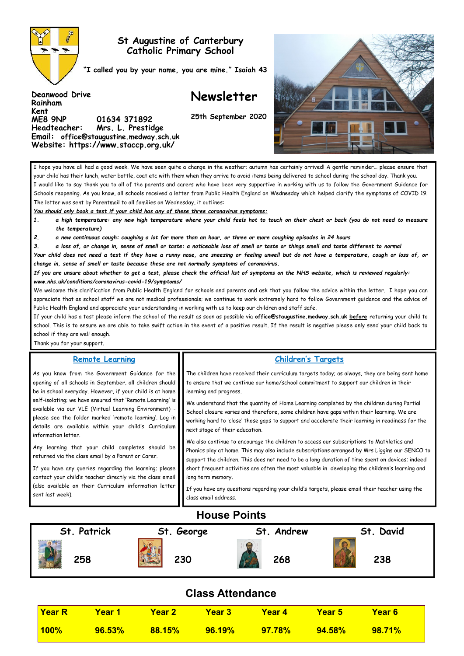

**Rainham Kent** 

# **St Augustine of Canterbury Catholic Primary School**

**"I called you by your name, you are mine." Isaiah 43**

# **Newsletter**

**25th September 2020**



I hope you have all had a good week. We have seen quite a change in the weather; autumn has certainly arrived! A gentle reminder… please ensure that your child has their lunch, water bottle, coat etc with them when they arrive to avoid items being delivered to school during the school day. Thank you. I would like to say thank you to all of the parents and carers who have been very supportive in working with us to follow the Government Guidance for Schools reopening. As you know, all schools received a letter from Public Health England on Wednesday which helped clarify the symptoms of COVID 19. The letter was sent by Parentmail to all families on Wednesday, it outlines:

*You should only book a test if your child has any of these three coronavirus symptoms:* 

**ME8 9NP 01634 371892** 

**Headteacher: Mrs. L. Prestidge Email: office@staugustine.medway.sch.uk Website: https://www.staccp.org.uk/**

*1. a high temperature: any new high temperature where your child feels hot to touch on their chest or back (you do not need to measure the temperature)* 

*2. a new continuous cough: coughing a lot for more than an hour, or three or more coughing episodes in 24 hours* 

*3. a loss of, or change in, sense of smell or taste: a noticeable loss of smell or taste or things smell and taste different to normal* 

*Your child does not need a test if they have a runny nose, are sneezing or feeling unwell but do not have a temperature, cough or loss of, or change in, sense of smell or taste because these are not normally symptoms of coronavirus.* 

*If you are unsure about whether to get a test, please check the official list of symptoms on the NHS website, which is reviewed regularly: www.nhs.uk/conditions/coronavirus-covid-19/symptoms/* 

We welcome this clarification from Public Health England for schools and parents and ask that you follow the advice within the letter. I hope you can appreciate that as school staff we are not medical professionals; we continue to work extremely hard to follow Government guidance and the advice of Public Health England and appreciate your understanding in working with us to keep our children and staff safe.

If your child has a test please inform the school of the result as soon as possible via **office@staugustine.medway.sch.uk before** returning your child to school. This is to ensure we are able to take swift action in the event of a positive result. If the result is negative please only send your child back to school if they are well enough.

Thank you for your support.

| <b>Remote Learning</b>                                                                                                                                                                                                                                                                                                                                                                                                                                                                                                                                                                                                                                                                                                                                  | <b>Children's Targets</b>                                                                                                                                                                                                                                                                                                                                                                                                                                                                                                                                                                                                                                                                                                                                                                                                                                                                                                                                                                                                                                                                              |
|---------------------------------------------------------------------------------------------------------------------------------------------------------------------------------------------------------------------------------------------------------------------------------------------------------------------------------------------------------------------------------------------------------------------------------------------------------------------------------------------------------------------------------------------------------------------------------------------------------------------------------------------------------------------------------------------------------------------------------------------------------|--------------------------------------------------------------------------------------------------------------------------------------------------------------------------------------------------------------------------------------------------------------------------------------------------------------------------------------------------------------------------------------------------------------------------------------------------------------------------------------------------------------------------------------------------------------------------------------------------------------------------------------------------------------------------------------------------------------------------------------------------------------------------------------------------------------------------------------------------------------------------------------------------------------------------------------------------------------------------------------------------------------------------------------------------------------------------------------------------------|
| As you know from the Government Guidance for the<br>opening of all schools in September, all children should<br>be in school everyday. However, if your child is at home<br>self-isolating; we have ensured that 'Remote Learning' is<br>available via our VLE (Virtual Learning Environment) -<br>please see the folder marked 'remote learning'. Log in<br>details are available within your child's Curriculum<br>information letter.<br>Any learning that your child completes should be<br>returned via the class email by a Parent or Carer.<br>If you have any queries regarding the learning; please<br>contact your child's teacher directly via the class email<br>(also available on their Curriculum information letter<br>sent last week). | The children have received their curriculum targets today; as always, they are being sent home<br>to ensure that we continue our home/school commitment to support our children in their<br>learning and progress.<br>We understand that the quantity of Home Learning completed by the children during Partial<br>School closure varies and therefore, some children have gaps within their learning. We are<br>working hard to 'close' those gaps to support and accelerate their learning in readiness for the<br>next stage of their education.<br>We also continue to encourage the children to access our subscriptions to Mathletics and<br>Phonics play at home. This may also include subscriptions arranged by Mrs Liggins our SENCO to<br>support the children. This does not need to be a long duration of time spent on devices; indeed<br>short frequent activities are often the most valuable in developing the children's learning and<br>long term memory.<br>If you have any questions regarding your child's targets, please email their teacher using the<br>class email address. |
|                                                                                                                                                                                                                                                                                                                                                                                                                                                                                                                                                                                                                                                                                                                                                         | н.                                                                                                                                                                                                                                                                                                                                                                                                                                                                                                                                                                                                                                                                                                                                                                                                                                                                                                                                                                                                                                                                                                     |

# **House Points**



# **Class Attendance**

| <mark>∣Year R</mark> | <mark>Year 1 Year 2</mark> |                  | <b>Year 3</b>       | <u> Year 4</u> | <b>Year 5</b> | <b>Year 6</b> |  |
|----------------------|----------------------------|------------------|---------------------|----------------|---------------|---------------|--|
| $100\%$              | $96.53\%$                  | $\sqrt{88.15\%}$ | $\frac{96.19\%}{ }$ | $97.78\%$      | $94.58\%$     | $98.71\%$     |  |